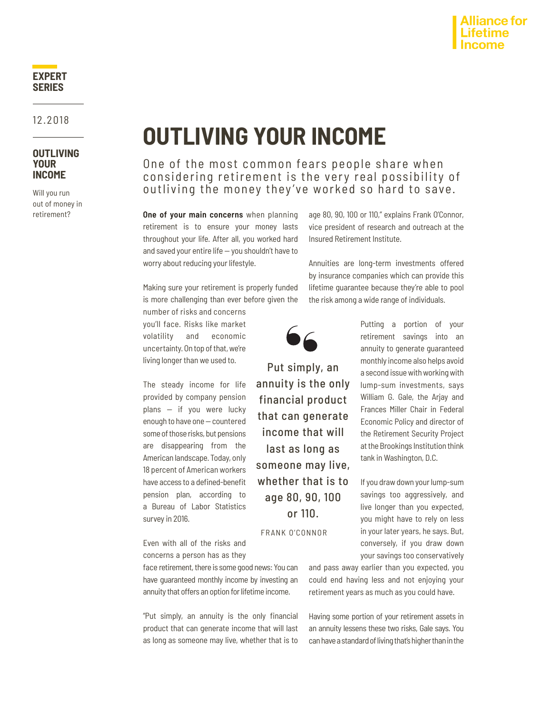# **Alliance for**

## **EXPERT SERIES**

12.2018

#### **OUTLIVING YOUR INCOME**

Will you run out of money in retirement?

# **OUTLIVING YOUR INCOME**

One of the most common fears people share when considering retirement is the very real possibility of outliving the money they've worked so hard to save.

**One of your main concerns** when planning retirement is to ensure your money lasts throughout your life. After all, you worked hard and saved your entire life — you shouldn't have to worry about reducing your lifestyle.

Making sure your retirement is properly funded is more challenging than ever before given the

number of risks and concerns you'll face. Risks like market volatility and economic uncertainty. On top of that, we're living longer than we used to.

The steady income for life provided by company pension plans — if you were lucky enough to have one — countered some of those risks, but pensions are disappearing from the American landscape. Today, only 18 percent of American workers have access to a defined-benefit pension plan, according to a Bureau of Labor Statistics survey in 2016.

Even with all of the risks and concerns a person has as they

face retirement, there is some good news: You can have guaranteed monthly income by investing an annuity that offers an option for lifetime income.

"Put simply, an annuity is the only financial product that can generate income that will last as long as someone may live, whether that is to

age 80, 90, 100 or 110," explains Frank O'Connor, vice president of research and outreach at the Insured Retirement Institute.

Annuities are long-term investments offered by insurance companies which can provide this lifetime guarantee because they're able to pool the risk among a wide range of individuals.



Put simply, an annuity is the only financial product that can generate income that will last as long as someone may live, whether that is to age 80, 90, 100 or 110.

FRANK O'CONNOR

Putting a portion of your retirement savings into an annuity to generate guaranteed monthly income also helps avoid a second issue with working with lump-sum investments, says William G. Gale, the Arjay and Frances Miller Chair in Federal Economic Policy and director of the Retirement Security Project at the Brookings Institution think tank in Washington, D.C.

If you draw down your lump-sum savings too aggressively, and live longer than you expected, you might have to rely on less in your later years, he says. But, conversely, if you draw down your savings too conservatively

and pass away earlier than you expected, you could end having less and not enjoying your retirement years as much as you could have.

Having some portion of your retirement assets in an annuity lessens these two risks, Gale says. You can have a standard of living that's higher than in the